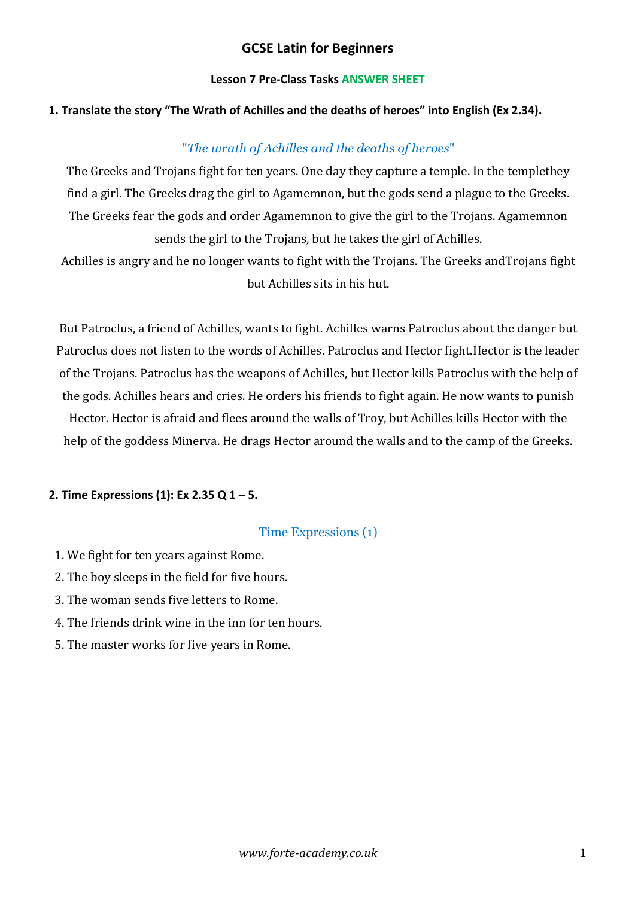## **GCSE Latin for Beginners**

#### **Lesson 7 Pre-Class Tasks ANSWER SHEET**

#### **1. Translate the story "The Wrath of Achilles and the deaths of heroes" into English (Ex 2.34).**

## "*The wrath of Achilles and the deaths of heroes*"

The Greeks and Trojans fight for ten years. One day they capture a temple. In the templethey find a girl. The Greeks drag the girl to Agamemnon, but the gods send a plague to the Greeks. The Greeks fear the gods and order Agamemnon to give the girl to the Trojans. Agamemnon sends the girl to the Trojans, but he takes the girl of Achilles.

Achilles is angry and he no longer wants to fight with the Trojans. The Greeks and Trojans fight but Achilles sits in his hut.

But Patroclus, a friend of Achilles, wants to fight. Achilles warns Patroclus about the danger but Patroclus does not listen to the words of Achilles. Patroclus and Hector fight.Hector is the leader of the Trojans. Patroclus has the weapons of Achilles, but Hector kills Patroclus with the help of the gods. Achilles hears and cries. He orders his friends to fight again. He now wants to punish Hector. Hector is afraid and flees around the walls of Troy, but Achilles kills Hector with the help of the goddess Minerva. He drags Hector around the walls and to the camp of the Greeks.

#### **2. Time Expressions (1): Ex 2.35 Q 1 – 5.**

#### Time Expressions (1)

- 1. We fight for ten years against Rome.
- 2. The boy sleeps in the field for five hours.
- 3. The woman sends five letters to Rome.
- 4. The friends drink wine in the inn for ten hours.
- 5. The master works for five years in Rome.